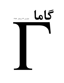## 65

## شماره ی ۲۴، زمستان - ۱۳۸۹

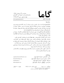$L_0$ 

www.gammajournal.ir

به نام خدا

ISSN 1735.1286

• گاما فصل نامه ای است به زبان ِ فارسی، در باره ی ِ فیزیک. آن چه در گاما منتشر می شود بیش تر مقالهها ي ِ آموزشي، در زمينه ي ِ فرهنگ يا تاريخ ِ فيزيک، يا در مورد ِ مسائل ِ فيزيک در ایران است، و قرار است جنبه ی ِ آموزشی و فرهنگی داشته باشد و برای دانشجویان ِ فیزیک یا دانش آموخته گان ِ فیزیک، یا دستِکم بخش ی از آنها قابل|ستفاده باشد. • مقالههای گاما نوعاً تألیفی اند. سعی بر این است که فقط مقالهها ی ِ کلاسیک ِ فیزیک، و نوشتهها ی ِ فیزیکپیشهها ی ِ بزرگ ترجمه شود. اگر می خواهید چیز ی را ترجمه کنید، لطفاً اول با هیئت \_ ویراستاران تماس بگیرید. • برا ی ِ تماس با گاما، و از جمله فرستادن ِ مقاله، لطفاً با یک ی از ویراستاران ِ گاما تماس بگیرید. • پذیرش ِ مقاله با هیئت ِ ویراستاران و بر اساس ِ روش ِ متداول ِ داوری توسّط ِ داور ِ ناشناس است. هیئت ِ ویراستاران یا مقاله را می پذیرد، یا رد می کند، امّا هرگز در نوشته ی ِ نویسنده دخل و تصرّف ی نمی کند. اگر به نظر ِ داور تغییر ی در مقاله لازم باشد، اعمال ِ این تغییر با خود ِ نویسنده (ها) است. • مقاله ی پذیرفته شده، پیش از چاپ، بر اساس به آخرین نسخه ای که نویسنده فرستاده حروفچینی می شود و پس از تاّیید ِ نویسنده است که چاپ می شود. • © تمام ِ حقوق ِ مادّي و معنوي ي ِ آن چه در گاما منتشر مي شود متعلق است به گاما، مگر در موارد ی که صراحتاً مشخّص شده باشد.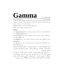## Gamma

www.gammajournal.ir ISSN 1735.1286

Gamma is a quarterly Persian magazine, devoted to educational and cultural articles in physics. Gamma is not a research journal.

**Address:** Gamma, P. O. Box 633, Tehran 19935, IRAN.

 $\circ$  2004 - 2011, Gamma, all rights reserved.

## **Editors**

• **A. Aghamohammadi** Prof. of Physics, Alzahra University, Tehran 19938-91167, Iran. a aghamohammadi@yahoo.com

• **A. H. Fatollahi** Asoc. Prof. of Physics, Alzahra University, Tehran 19938-91167, Iran. ahfatol@gmail.com

• **A. Shafikhani** Asoc. Prof. of Physics, Alzahra University, Tehran 19938-91167, Iran. ashafie@ipm.ir

• **A. Shariati** Asoc. Prof. of Physics, Alzahra University, Tehran 19938-91167, Iran. shariati@mailaps.org

اشتراک (چهار شماره) عادی ۱۰۰۰۰ تومان، دانشجویی ۲۰۰۰ تومان، موسسهها ۱۰۰۰ تومان. ر ابن المستخدمات المراجعة المستخدمات المستخدمات المستخدمات المستخدمات المستخدمات المستخدمات المستخدمات المستخد 0 A( Q-& \$-5

برا ی ِ اشتراک، پول ِ اشتراک را به حساب ِ سیبا، شماره ی 2002 3991 03 03 0 ، به نام ِ احمد شريعتي، (يا كارت 7783 1041 9911 6037) بريزيد. اصل \_ رسيد \_ بانك را پيش \_ خود نگه داريد، و -? V #\$) F 2 - ; -& Vd #4""F2 - E5 V 5 C(  ( - kNHl J 0V"( E= - F MCO>W .Rm 47 , 8F 7+7 E5 Vf #65 4\* 2 - .F